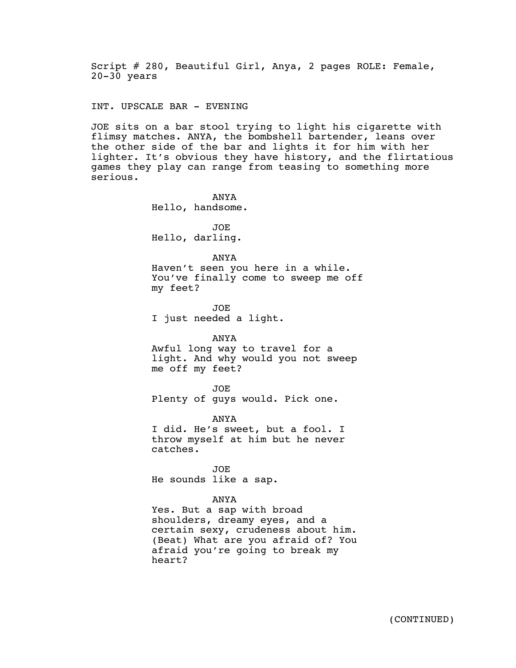Script # 280, Beautiful Girl, Anya, 2 pages ROLE: Female, 20-30 years

INT. UPSCALE BAR - EVENING

JOE sits on a bar stool trying to light his cigarette with flimsy matches. ANYA, the bombshell bartender, leans over the other side of the bar and lights it for him with her lighter. It's obvious they have history, and the flirtatious games they play can range from teasing to something more serious.

> ANYA Hello, handsome. JOE Hello, darling. ANYA Haven't seen you here in a while. You've finally come to sweep me off

my feet? JOE

I just needed a light.

## ANYA

Awful long way to travel for a light. And why would you not sweep me off my feet?

JOE

Plenty of guys would. Pick one.

ANYA

I did. He's sweet, but a fool. I throw myself at him but he never catches.

JOE He sounds like a sap.

## ANYA

Yes. But a sap with broad shoulders, dreamy eyes, and a certain sexy, crudeness about him. (Beat) What are you afraid of? You afraid you're going to break my heart?